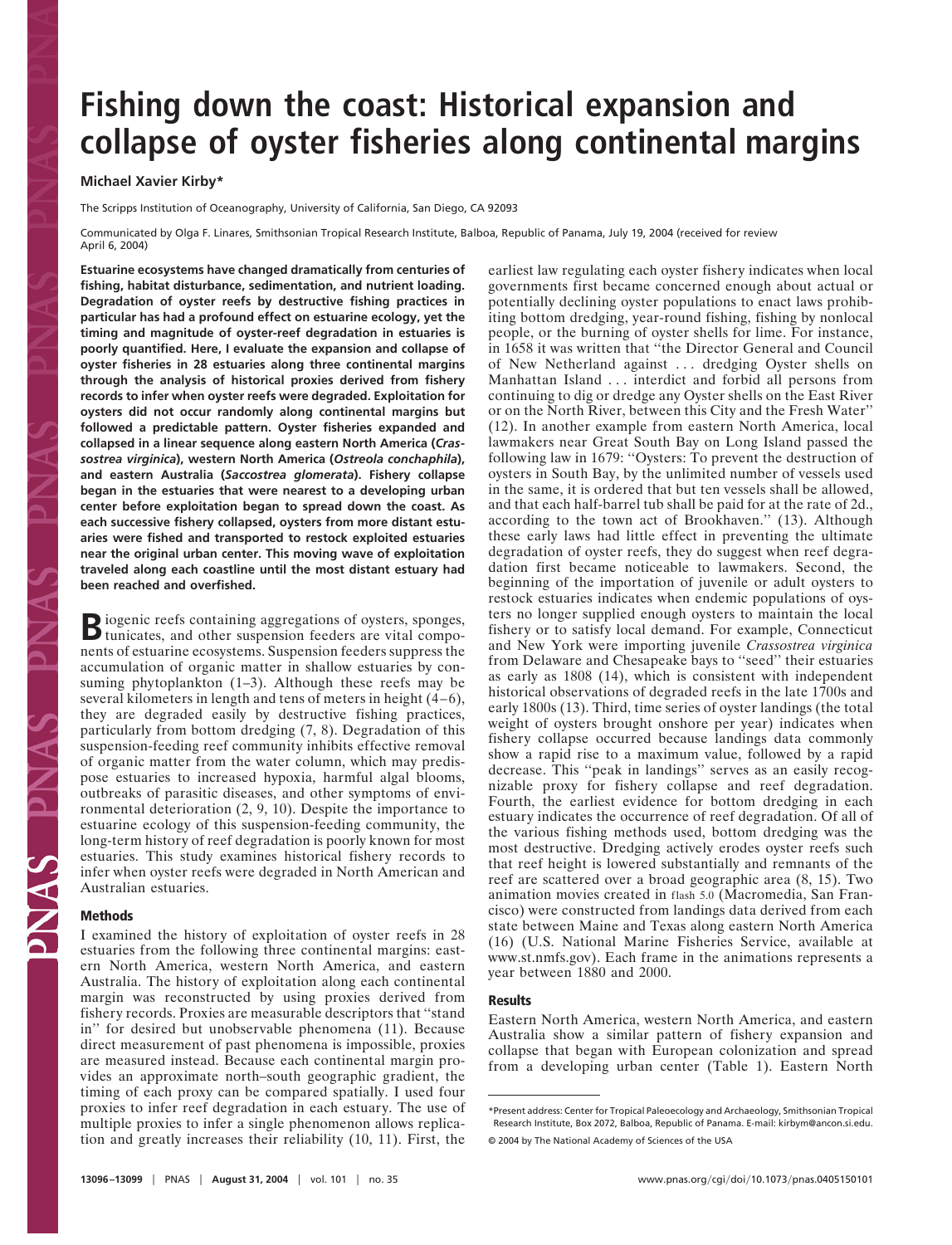# **Fishing down the coast: Historical expansion and collapse of oyster fisheries along continental margins**

# **Michael Xavier Kirby\***

The Scripps Institution of Oceanography, University of California, San Diego, CA 92093

Communicated by Olga F. Linares, Smithsonian Tropical Research Institute, Balboa, Republic of Panama, July 19, 2004 (received for review April 6, 2004)

**Estuarine ecosystems have changed dramatically from centuries of fishing, habitat disturbance, sedimentation, and nutrient loading. Degradation of oyster reefs by destructive fishing practices in particular has had a profound effect on estuarine ecology, yet the timing and magnitude of oyster-reef degradation in estuaries is poorly quantified. Here, I evaluate the expansion and collapse of oyster fisheries in 28 estuaries along three continental margins through the analysis of historical proxies derived from fishery records to infer when oyster reefs were degraded. Exploitation for oysters did not occur randomly along continental margins but followed a predictable pattern. Oyster fisheries expanded and collapsed in a linear sequence along eastern North America (***Crassostrea virginica***), western North America (***Ostreola conchaphila***), and eastern Australia (***Saccostrea glomerata***). Fishery collapse began in the estuaries that were nearest to a developing urban center before exploitation began to spread down the coast. As each successive fishery collapsed, oysters from more distant estuaries were fished and transported to restock exploited estuaries near the original urban center. This moving wave of exploitation traveled along each coastline until the most distant estuary had been reached and overfished.**

Biogenic reefs containing aggregations of oysters, sponges, tunicates, and other suspension feeders are vital components of estuarine ecosystems. Suspension feeders suppress the accumulation of organic matter in shallow estuaries by consuming phytoplankton (1–3). Although these reefs may be several kilometers in length and tens of meters in height (4–6), they are degraded easily by destructive fishing practices, particularly from bottom dredging (7, 8). Degradation of this suspension-feeding reef community inhibits effective removal of organic matter from the water column, which may predispose estuaries to increased hypoxia, harmful algal blooms, outbreaks of parasitic diseases, and other symptoms of environmental deterioration (2, 9, 10). Despite the importance to estuarine ecology of this suspension-feeding community, the long-term history of reef degradation is poorly known for most estuaries. This study examines historical fishery records to infer when oyster reefs were degraded in North American and Australian estuaries.

# **Methods**

I examined the history of exploitation of oyster reefs in 28 estuaries from the following three continental margins: eastern North America, western North America, and eastern Australia. The history of exploitation along each continental margin was reconstructed by using proxies derived from fishery records. Proxies are measurable descriptors that ''stand in'' for desired but unobservable phenomena (11). Because direct measurement of past phenomena is impossible, proxies are measured instead. Because each continental margin provides an approximate north–south geographic gradient, the timing of each proxy can be compared spatially. I used four proxies to infer reef degradation in each estuary. The use of multiple proxies to infer a single phenomenon allows replication and greatly increases their reliability (10, 11). First, the

earliest law regulating each oyster fishery indicates when local governments first became concerned enough about actual or potentially declining oyster populations to enact laws prohibiting bottom dredging, year-round fishing, fishing by nonlocal people, or the burning of oyster shells for lime. For instance, in 1658 it was written that ''the Director General and Council of New Netherland against . . . dredging Oyster shells on Manhattan Island . . . interdict and forbid all persons from continuing to dig or dredge any Oyster shells on the East River or on the North River, between this City and the Fresh Water'' (12). In another example from eastern North America, local lawmakers near Great South Bay on Long Island passed the following law in 1679: ''Oysters: To prevent the destruction of oysters in South Bay, by the unlimited number of vessels used in the same, it is ordered that but ten vessels shall be allowed, and that each half-barrel tub shall be paid for at the rate of 2d., according to the town act of Brookhaven.'' (13). Although these early laws had little effect in preventing the ultimate degradation of oyster reefs, they do suggest when reef degradation first became noticeable to lawmakers. Second, the beginning of the importation of juvenile or adult oysters to restock estuaries indicates when endemic populations of oysters no longer supplied enough oysters to maintain the local fishery or to satisfy local demand. For example, Connecticut and New York were importing juvenile *Crassostrea virginica* from Delaware and Chesapeake bays to ''seed'' their estuaries as early as 1808 (14), which is consistent with independent historical observations of degraded reefs in the late 1700s and early 1800s (13). Third, time series of oyster landings (the total weight of oysters brought onshore per year) indicates when fishery collapse occurred because landings data commonly show a rapid rise to a maximum value, followed by a rapid decrease. This ''peak in landings'' serves as an easily recognizable proxy for fishery collapse and reef degradation. Fourth, the earliest evidence for bottom dredging in each estuary indicates the occurrence of reef degradation. Of all of the various fishing methods used, bottom dredging was the most destructive. Dredging actively erodes oyster reefs such that reef height is lowered substantially and remnants of the reef are scattered over a broad geographic area (8, 15). Two animation movies created in flash 5.0 (Macromedia, San Francisco) were constructed from landings data derived from each state between Maine and Texas along eastern North America (16) (U.S. National Marine Fisheries Service, available at www.st.nmfs.gov). Each frame in the animations represents a year between 1880 and 2000.

# **Results**

Eastern North America, western North America, and eastern Australia show a similar pattern of fishery expansion and collapse that began with European colonization and spread from a developing urban center (Table 1). Eastern North

<sup>\*</sup>Present address: Center for Tropical Paleoecology and Archaeology, Smithsonian Tropical Research Institute, Box 2072, Balboa, Republic of Panama. E-mail: kirbym@ancon.si.edu. © 2004 by The National Academy of Sciences of the USA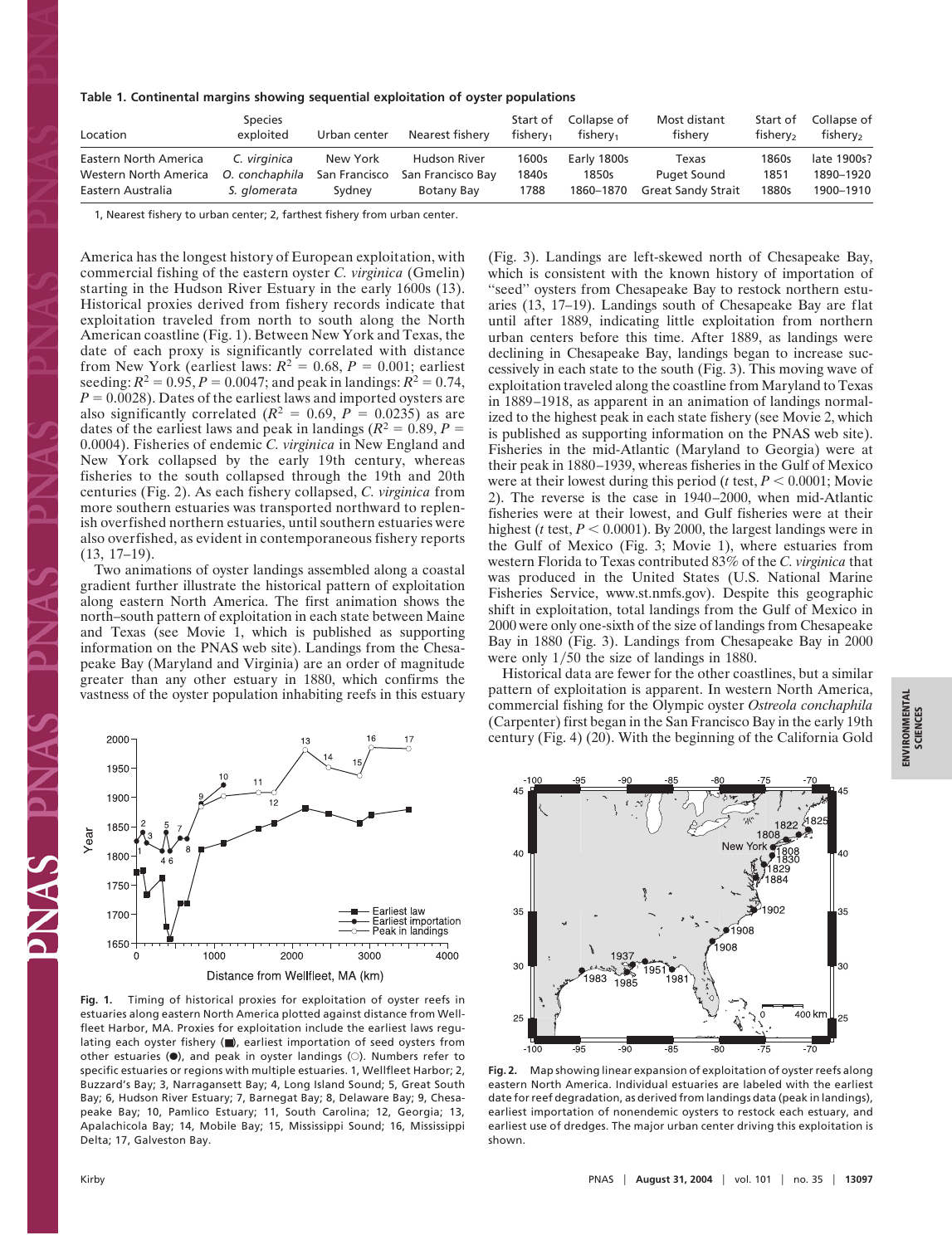#### **Table 1. Continental margins showing sequential exploitation of oyster populations**

| Location              | <b>Species</b><br>exploited | Urban center  | Nearest fishery     | Start of<br>fisherv <sub>1</sub> | Collapse of<br>fisherv <sub>1</sub> | Most distant<br>fishery   | Start of<br>fisherv <sub>2</sub> | Collapse of<br>fishery <sub>2</sub> |
|-----------------------|-----------------------------|---------------|---------------------|----------------------------------|-------------------------------------|---------------------------|----------------------------------|-------------------------------------|
| Eastern North America | C. virginica                | New York      | <b>Hudson River</b> | 1600s                            | Early 1800s                         | Texas                     | 1860s                            | late 1900s?                         |
| Western North America | O. conchaphila              | San Francisco | San Francisco Bay   | 1840s                            | 1850s                               | <b>Puget Sound</b>        | 1851                             | 1890-1920                           |
| Eastern Australia     | S. alomerata                | Sydney        | Botany Bay          | 1788                             | 1860-1870                           | <b>Great Sandy Strait</b> | 1880s                            | 1900-1910                           |

1, Nearest fishery to urban center; 2, farthest fishery from urban center.

America has the longest history of European exploitation, with commercial fishing of the eastern oyster *C. virginica* (Gmelin) starting in the Hudson River Estuary in the early 1600s (13). Historical proxies derived from fishery records indicate that exploitation traveled from north to south along the North American coastline (Fig. 1). Between New York and Texas, the date of each proxy is significantly correlated with distance from New York (earliest laws:  $R^2 = 0.68$ ,  $P = 0.001$ ; earliest seeding:  $R^2 = 0.95$ ,  $P = 0.0047$ ; and peak in landings:  $R^2 = 0.74$ ,  $P = 0.0028$ ). Dates of the earliest laws and imported oysters are also significantly correlated  $(R^2 = 0.69, P = 0.0235)$  as are dates of the earliest laws and peak in landings ( $R^2 = 0.89$ ,  $P =$ 0.0004). Fisheries of endemic *C. virginica* in New England and New York collapsed by the early 19th century, whereas fisheries to the south collapsed through the 19th and 20th centuries (Fig. 2). As each fishery collapsed, *C. virginica* from more southern estuaries was transported northward to replenish overfished northern estuaries, until southern estuaries were also overfished, as evident in contemporaneous fishery reports (13, 17–19).

Two animations of oyster landings assembled along a coastal gradient further illustrate the historical pattern of exploitation along eastern North America. The first animation shows the north–south pattern of exploitation in each state between Maine and Texas (see Movie 1, which is published as supporting information on the PNAS web site). Landings from the Chesapeake Bay (Maryland and Virginia) are an order of magnitude greater than any other estuary in 1880, which confirms the vastness of the oyster population inhabiting reefs in this estuary



**Fig. 1.** Timing of historical proxies for exploitation of oyster reefs in estuaries along eastern North America plotted against distance from Wellfleet Harbor, MA. Proxies for exploitation include the earliest laws regulating each oyster fishery (■), earliest importation of seed oysters from other estuaries  $(\bullet)$ , and peak in oyster landings  $(\circ)$ . Numbers refer to specific estuaries or regions with multiple estuaries. 1, Wellfleet Harbor; 2, Buzzard's Bay; 3, Narragansett Bay; 4, Long Island Sound; 5, Great South Bay; 6, Hudson River Estuary; 7, Barnegat Bay; 8, Delaware Bay; 9, Chesapeake Bay; 10, Pamlico Estuary; 11, South Carolina; 12, Georgia; 13, Apalachicola Bay; 14, Mobile Bay; 15, Mississippi Sound; 16, Mississippi Delta; 17, Galveston Bay.

(Fig. 3). Landings are left-skewed north of Chesapeake Bay, which is consistent with the known history of importation of ''seed'' oysters from Chesapeake Bay to restock northern estuaries (13, 17–19). Landings south of Chesapeake Bay are flat until after 1889, indicating little exploitation from northern urban centers before this time. After 1889, as landings were declining in Chesapeake Bay, landings began to increase successively in each state to the south (Fig. 3). This moving wave of exploitation traveled along the coastline from Maryland to Texas in 1889–1918, as apparent in an animation of landings normalized to the highest peak in each state fishery (see Movie 2, which is published as supporting information on the PNAS web site). Fisheries in the mid-Atlantic (Maryland to Georgia) were at their peak in 1880–1939, whereas fisheries in the Gulf of Mexico were at their lowest during this period ( $t$  test,  $P < 0.0001$ ; Movie 2). The reverse is the case in 1940–2000, when mid-Atlantic fisheries were at their lowest, and Gulf fisheries were at their highest (*t* test,  $P < 0.0001$ ). By 2000, the largest landings were in the Gulf of Mexico (Fig. 3; Movie 1), where estuaries from western Florida to Texas contributed 83% of the *C. virginica* that was produced in the United States (U.S. National Marine Fisheries Service, www.st.nmfs.gov). Despite this geographic shift in exploitation, total landings from the Gulf of Mexico in 2000 were only one-sixth of the size of landings from Chesapeake Bay in 1880 (Fig. 3). Landings from Chesapeake Bay in 2000 were only  $1/50$  the size of landings in 1880.

Historical data are fewer for the other coastlines, but a similar pattern of exploitation is apparent. In western North America, commercial fishing for the Olympic oyster *Ostreola conchaphila* (Carpenter) first began in the San Francisco Bay in the early 19th century (Fig. 4) (20). With the beginning of the California Gold



**ENVIRONMENTAL**<br>SCIENCES **ENVIRONMENTAL SCIENCES**

**Fig. 2.** Map showing linear expansion of exploitation of oyster reefs along eastern North America. Individual estuaries are labeled with the earliest date for reef degradation, as derived from landings data (peak in landings), earliest importation of nonendemic oysters to restock each estuary, and earliest use of dredges. The major urban center driving this exploitation is shown.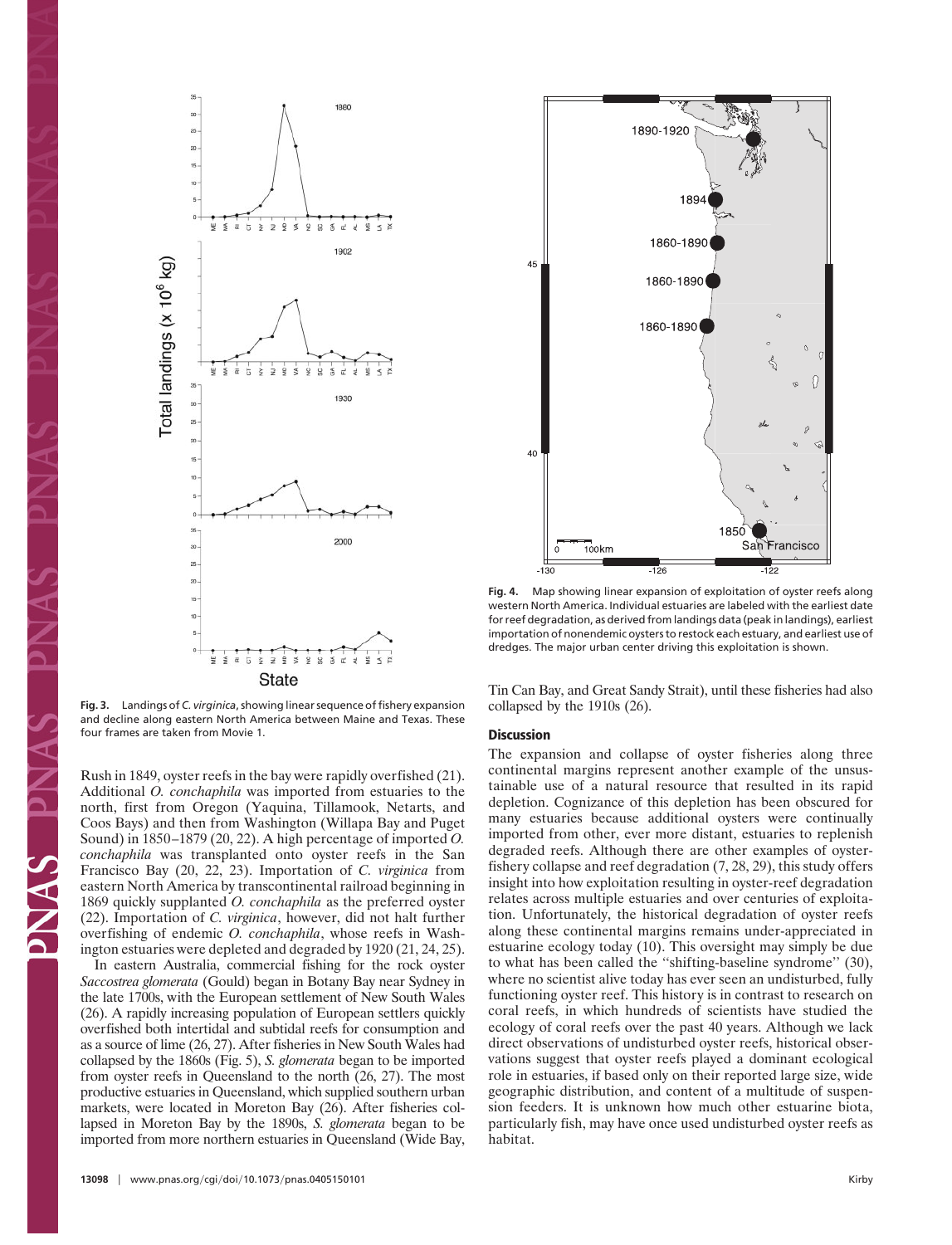

Fig. 3. Landings of *C. virginica*, showing linear sequence of fishery expansion and decline along eastern North America between Maine and Texas. These four frames are taken from Movie 1.

Rush in 1849, oyster reefs in the bay were rapidly overfished (21). Additional *O. conchaphila* was imported from estuaries to the north, first from Oregon (Yaquina, Tillamook, Netarts, and Coos Bays) and then from Washington (Willapa Bay and Puget Sound) in 1850–1879 (20, 22). A high percentage of imported *O. conchaphila* was transplanted onto oyster reefs in the San Francisco Bay (20, 22, 23). Importation of *C. virginica* from eastern North America by transcontinental railroad beginning in 1869 quickly supplanted *O. conchaphila* as the preferred oyster (22). Importation of *C. virginica*, however, did not halt further overfishing of endemic *O. conchaphila*, whose reefs in Washington estuaries were depleted and degraded by 1920 (21, 24, 25).

In eastern Australia, commercial fishing for the rock oyster *Saccostrea glomerata* (Gould) began in Botany Bay near Sydney in the late 1700s, with the European settlement of New South Wales (26). A rapidly increasing population of European settlers quickly overfished both intertidal and subtidal reefs for consumption and as a source of lime (26, 27). After fisheries in New South Wales had collapsed by the 1860s (Fig. 5), *S. glomerata* began to be imported from oyster reefs in Queensland to the north (26, 27). The most productive estuaries in Queensland, which supplied southern urban markets, were located in Moreton Bay (26). After fisheries collapsed in Moreton Bay by the 1890s, *S. glomerata* began to be imported from more northern estuaries in Queensland (Wide Bay,



1890-1920

189

G

Tin Can Bay, and Great Sandy Strait), until these fisheries had also collapsed by the 1910s (26).

### **Discussion**

The expansion and collapse of oyster fisheries along three continental margins represent another example of the unsustainable use of a natural resource that resulted in its rapid depletion. Cognizance of this depletion has been obscured for many estuaries because additional oysters were continually imported from other, ever more distant, estuaries to replenish degraded reefs. Although there are other examples of oysterfishery collapse and reef degradation (7, 28, 29), this study offers insight into how exploitation resulting in oyster-reef degradation relates across multiple estuaries and over centuries of exploitation. Unfortunately, the historical degradation of oyster reefs along these continental margins remains under-appreciated in estuarine ecology today (10). This oversight may simply be due to what has been called the ''shifting-baseline syndrome'' (30), where no scientist alive today has ever seen an undisturbed, fully functioning oyster reef. This history is in contrast to research on coral reefs, in which hundreds of scientists have studied the ecology of coral reefs over the past 40 years. Although we lack direct observations of undisturbed oyster reefs, historical observations suggest that oyster reefs played a dominant ecological role in estuaries, if based only on their reported large size, wide geographic distribution, and content of a multitude of suspension feeders. It is unknown how much other estuarine biota, particularly fish, may have once used undisturbed oyster reefs as habitat.